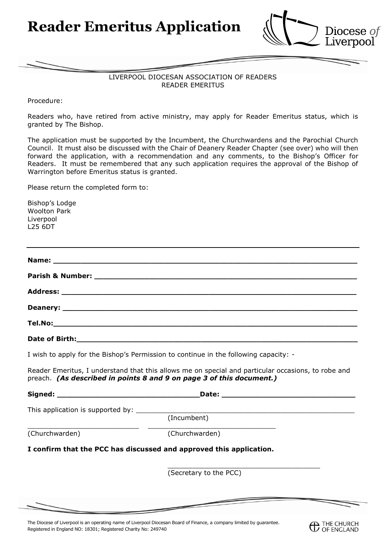**Reader Emeritus Application**



**C** THE CHURCH

## LIVERPOOL DIOCESAN ASSOCIATION OF READERS READER EMERITUS

Procedure:

Readers who, have retired from active ministry, may apply for Reader Emeritus status, which is granted by The Bishop.

The application must be supported by the Incumbent, the Churchwardens and the Parochial Church Council. It must also be discussed with the Chair of Deanery Reader Chapter (see over) who will then forward the application, with a recommendation and any comments, to the Bishop's Officer for Readers. It must be remembered that any such application requires the approval of the Bishop of Warrington before Emeritus status is granted.

Please return the completed form to:

Bishop's Lodge Woolton Park Liverpool L25 6DT

| Date of Birth: |  |  |
|----------------|--|--|

I wish to apply for the Bishop's Permission to continue in the following capacity: -

Reader Emeritus, I understand that this allows me on special and particular occasions, to robe and preach. *(As described in points 8 and 9 on page 3 of this document.)*

| Signed:        | Date:                                                               |  |
|----------------|---------------------------------------------------------------------|--|
|                |                                                                     |  |
|                | (Incumbent)                                                         |  |
| (Churchwarden) | (Churchwarden)                                                      |  |
|                | I confirm that the PCC has discussed and approved this application. |  |
|                |                                                                     |  |

(Secretary to the PCC)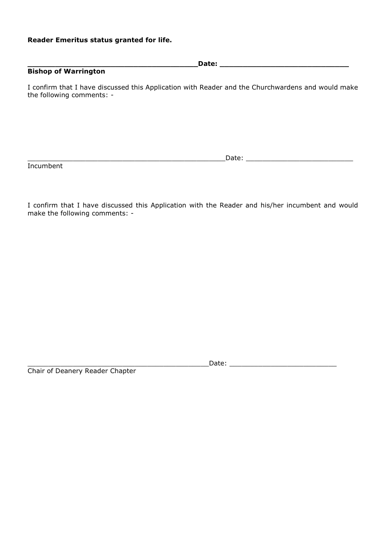## **Reader Emeritus status granted for life.**

**\_\_\_\_\_\_\_\_\_\_\_\_\_\_\_\_\_\_\_\_\_\_\_\_\_\_\_\_\_\_\_\_\_\_\_\_\_Date: \_\_\_\_\_\_\_\_\_\_\_\_\_\_\_\_\_\_\_\_\_\_\_\_\_\_\_\_ Bishop of Warrington** 

I confirm that I have discussed this Application with Reader and the Churchwardens and would make the following comments: -

Incumbent

\_\_\_\_\_\_\_\_\_\_\_\_\_\_\_\_\_\_\_\_\_\_\_\_\_\_\_\_\_\_\_\_\_\_\_\_\_\_\_\_\_\_\_\_\_\_\_\_Date: \_\_\_\_\_\_\_\_\_\_\_\_\_\_\_\_\_\_\_\_\_\_\_\_\_\_

I confirm that I have discussed this Application with the Reader and his/her incumbent and would make the following comments: -

Chair of Deanery Reader Chapter

\_\_\_\_\_\_\_\_\_\_\_\_\_\_\_\_\_\_\_\_\_\_\_\_\_\_\_\_\_\_\_\_\_\_\_\_\_\_\_\_\_\_\_\_Date: \_\_\_\_\_\_\_\_\_\_\_\_\_\_\_\_\_\_\_\_\_\_\_\_\_\_